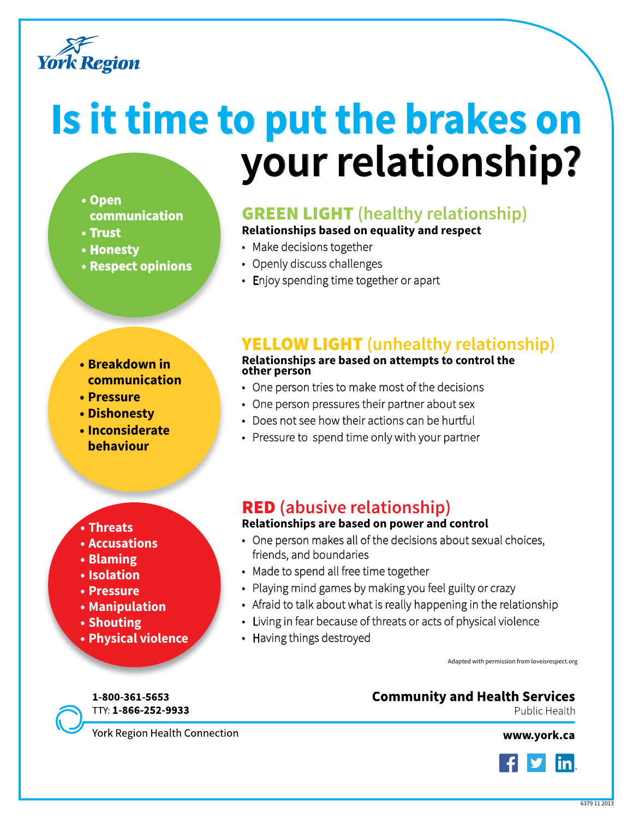

# **Is it time to put the brakes on your relationship?**

#### **• Open**

- **communication**
- **• Trust**
- **• Honesty**
- **• Respect opinions**

### **GREEN LIGHT** (healthy relationship)

**Relationships based on equality and respect**

- Make decisions together
- Openly discuss challenges
- Enjoy spending time together or apart

#### **• Breakdown in communication**

- **• Pressure**
- **• Dishonesty**
- **• Inconsiderate behaviour**

#### **• Threats**

- **• Accusations**
- **• Blaming**
- **• Isolation**
- **• Pressure**
- **• Manipulation**
- **• Shouting**
- **• Physical violence**

## Yellow light **(unhealthy relationship)**

#### **Relationships are based on attempts to control the other person**

- One person tries to make most of the decisions
- One person pressures their partner about sex
- Does not see how their actions can be hurtful
- Pressure to spend time only with your partner

## Red **(abusive relationship)**

#### **Relationships are based on power and control**

- One person makes all of the decisions about sexual choices, friends, and boundaries
- Made to spend all free time together
- Playing mind games by making you feel guilty or crazy
- Afraid to talk about what is really happening in the relationship
- Living in fear because of threats or acts of physical violence
- Having things destroyed

Adapted with permission from loveisrespect.org

#### 1-800-361-5653 TTY: 1-866-252-9933

**Community and Health Services** 

Public Health

York Region Health Connection

www.york.ca